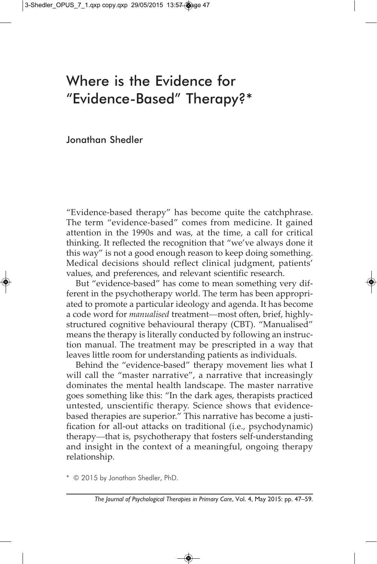### Where is the Evidence for "Evidence-Based" Therapy?\*

Jonathan Shedler

"Evidence-based therapy" has become quite the catchphrase. The term "evidence-based" comes from medicine. It gained attention in the 1990s and was, at the time, a call for critical thinking. It reflected the recognition that "we've always done it this way" is not a good enough reason to keep doing something. Medical decisions should reflect clinical judgment, patients' values, and preferences, and relevant scientific research.

But "evidence-based" has come to mean something very different in the psychotherapy world. The term has been appropriated to promote a particular ideology and agenda. It has become a code word for *manualised* treatment—most often, brief, highlystructured cognitive behavioural therapy (CBT). "Manualised" means the therapy is literally conducted by following an instruction manual. The treatment may be prescripted in a way that leaves little room for understanding patients as individuals.

Behind the "evidence-based" therapy movement lies what I will call the "master narrative", a narrative that increasingly dominates the mental health landscape. The master narrative goes something like this: "In the dark ages, therapists practiced untested, unscientific therapy. Science shows that evidencebased therapies are superior." This narrative has become a justification for all-out attacks on traditional (i.e., psychodynamic) therapy—that is, psychotherapy that fosters self-understanding and insight in the context of a meaningful, ongoing therapy relationship.

\* © 2015 by Jonathan Shedler, PhD.

*The Journal of Psychological Therapies in Primary Care*, Vol. 4, May 2015: pp. 47–59.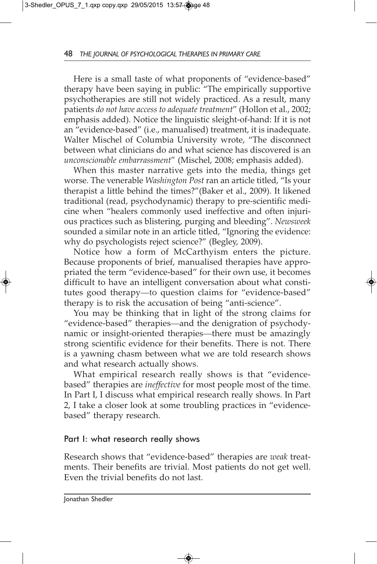Here is a small taste of what proponents of "evidence-based" therapy have been saying in public: "The empirically supportive psychotherapies are still not widely practiced. As a result, many patients *do not have access to adequate treatment*" (Hollon et al., 2002; emphasis added). Notice the linguistic sleight-of-hand: If it is not an "evidence-based" (i.e., manualised) treatment, it is inadequate. Walter Mischel of Columbia University wrote, "The disconnect between what clinicians do and what science has discovered is an *unconscionable embarrassment*" (Mischel, 2008; emphasis added).

When this master narrative gets into the media, things get worse. The venerable *Washington Post* ran an article titled, "Is your therapist a little behind the times?"(Baker et al., 2009). It likened traditional (read, psychodynamic) therapy to pre-scientific medicine when "healers commonly used ineffective and often injurious practices such as blistering, purging and bleeding". *Newsweek* sounded a similar note in an article titled, "Ignoring the evidence: why do psychologists reject science?" (Begley, 2009).

Notice how a form of McCarthyism enters the picture. Because proponents of brief, manualised therapies have appropriated the term "evidence-based" for their own use, it becomes difficult to have an intelligent conversation about what constitutes good therapy—to question claims for "evidence-based" therapy is to risk the accusation of being "anti-science".

You may be thinking that in light of the strong claims for "evidence-based" therapies—and the denigration of psychodynamic or insight-oriented therapies—there must be amazingly strong scientific evidence for their benefits. There is not. There is a yawning chasm between what we are told research shows and what research actually shows.

What empirical research really shows is that "evidencebased" therapies are *ineffective* for most people most of the time. In Part I, I discuss what empirical research really shows. In Part 2, I take a closer look at some troubling practices in "evidencebased" therapy research.

#### Part I: what research really shows

Research shows that "evidence-based" therapies are *weak* treatments. Their benefits are trivial. Most patients do not get well. Even the trivial benefits do not last.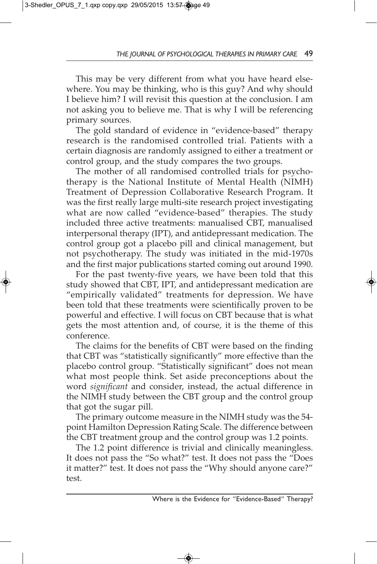This may be very different from what you have heard elsewhere. You may be thinking, who is this guy? And why should I believe him? I will revisit this question at the conclusion. I am not asking you to believe me. That is why I will be referencing primary sources.

The gold standard of evidence in "evidence-based" therapy research is the randomised controlled trial. Patients with a certain diagnosis are randomly assigned to either a treatment or control group, and the study compares the two groups.

The mother of all randomised controlled trials for psychotherapy is the National Institute of Mental Health (NIMH) Treatment of Depression Collaborative Research Program. It was the first really large multi-site research project investigating what are now called "evidence-based" therapies. The study included three active treatments: manualised CBT, manualised interpersonal therapy (IPT), and antidepressant medication. The control group got a placebo pill and clinical management, but not psychotherapy. The study was initiated in the mid-1970s and the first major publications started coming out around 1990.

For the past twenty-five years, we have been told that this study showed that CBT, IPT, and antidepressant medication are "empirically validated" treatments for depression. We have been told that these treatments were scientifically proven to be powerful and effective. I will focus on CBT because that is what gets the most attention and, of course, it is the theme of this conference.

The claims for the benefits of CBT were based on the finding that CBT was "statistically significantly" more effective than the placebo control group. "Statistically significant" does not mean what most people think. Set aside preconceptions about the word *significant* and consider, instead, the actual difference in the NIMH study between the CBT group and the control group that got the sugar pill.

The primary outcome measure in the NIMH study was the 54 point Hamilton Depression Rating Scale. The difference between the CBT treatment group and the control group was 1.2 points.

The 1.2 point difference is trivial and clinically meaningless. It does not pass the "So what?" test. It does not pass the "Does it matter?" test. It does not pass the "Why should anyone care?" test.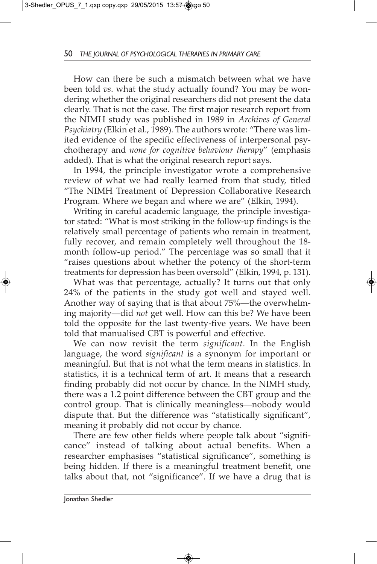How can there be such a mismatch between what we have been told *vs*. what the study actually found? You may be wondering whether the original researchers did not present the data clearly. That is not the case. The first major research report from the NIMH study was published in 1989 in *Archives of General Psychiatry* (Elkin et al., 1989). The authors wrote: "There was limited evidence of the specific effectiveness of interpersonal psychotherapy and *none for cognitive behaviour therapy*" (emphasis added). That is what the original research report says.

In 1994, the principle investigator wrote a comprehensive review of what we had really learned from that study, titled "The NIMH Treatment of Depression Collaborative Research Program. Where we began and where we are" (Elkin, 1994).

Writing in careful academic language, the principle investigator stated: "What is most striking in the follow-up findings is the relatively small percentage of patients who remain in treatment, fully recover, and remain completely well throughout the 18 month follow-up period." The percentage was so small that it "raises questions about whether the potency of the short-term treatments for depression has been oversold" (Elkin, 1994, p. 131).

What was that percentage, actually? It turns out that only 24% of the patients in the study got well and stayed well. Another way of saying that is that about 75%—the overwhelming majority—did *not* get well. How can this be? We have been told the opposite for the last twenty-five years. We have been told that manualised CBT is powerful and effective.

We can now revisit the term *significant*. In the English language, the word *significant* is a synonym for important or meaningful. But that is not what the term means in statistics. In statistics, it is a technical term of art. It means that a research finding probably did not occur by chance. In the NIMH study, there was a 1.2 point difference between the CBT group and the control group. That is clinically meaningless—nobody would dispute that. But the difference was "statistically significant", meaning it probably did not occur by chance.

There are few other fields where people talk about "significance" instead of talking about actual benefits. When a researcher emphasises "statistical significance", something is being hidden. If there is a meaningful treatment benefit, one talks about that, not "significance". If we have a drug that is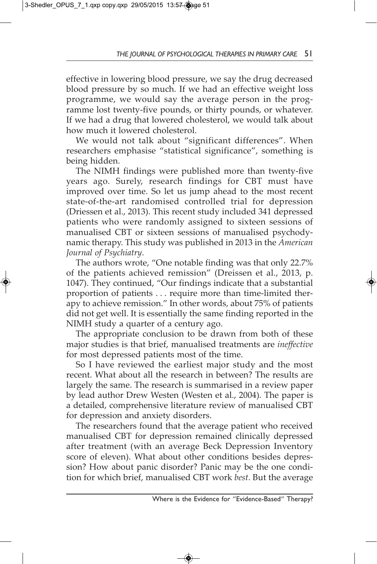effective in lowering blood pressure, we say the drug decreased blood pressure by so much. If we had an effective weight loss programme, we would say the average person in the programme lost twenty-five pounds, or thirty pounds, or whatever. If we had a drug that lowered cholesterol, we would talk about how much it lowered cholesterol.

We would not talk about "significant differences". When researchers emphasise "statistical significance", something is being hidden.

The NIMH findings were published more than twenty-five years ago. Surely, research findings for CBT must have improved over time. So let us jump ahead to the most recent state-of-the-art randomised controlled trial for depression (Driessen et al., 2013). This recent study included 341 depressed patients who were randomly assigned to sixteen sessions of manualised CBT or sixteen sessions of manualised psychodynamic therapy. This study was published in 2013 in the *American Journal of Psychiatry*.

The authors wrote, "One notable finding was that only 22.7% of the patients achieved remission" (Dreissen et al., 2013, p. 1047). They continued, "Our findings indicate that a substantial proportion of patients . . . require more than time-limited therapy to achieve remission." In other words, about 75% of patients did not get well. It is essentially the same finding reported in the NIMH study a quarter of a century ago.

The appropriate conclusion to be drawn from both of these major studies is that brief, manualised treatments are *ineffective* for most depressed patients most of the time.

So I have reviewed the earliest major study and the most recent. What about all the research in between? The results are largely the same. The research is summarised in a review paper by lead author Drew Westen (Westen et al., 2004). The paper is a detailed, comprehensive literature review of manualised CBT for depression and anxiety disorders.

The researchers found that the average patient who received manualised CBT for depression remained clinically depressed after treatment (with an average Beck Depression Inventory score of eleven). What about other conditions besides depression? How about panic disorder? Panic may be the one condition for which brief, manualised CBT work *best*. But the average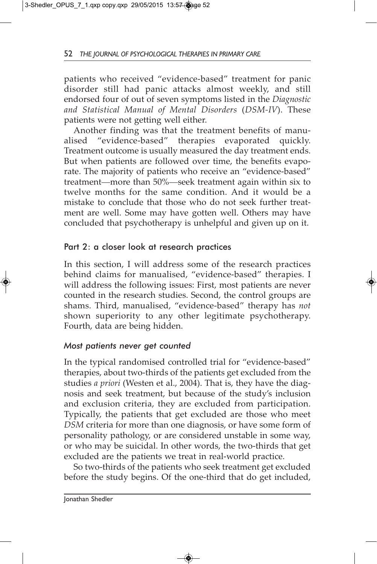patients who received "evidence-based" treatment for panic disorder still had panic attacks almost weekly, and still endorsed four of out of seven symptoms listed in the *Diagnostic and Statistical Manual of Mental Disorders* (*DSM-IV*). These patients were not getting well either.

Another finding was that the treatment benefits of manualised "evidence-based" therapies evaporated quickly. Treatment outcome is usually measured the day treatment ends. But when patients are followed over time, the benefits evaporate. The majority of patients who receive an "evidence-based" treatment—more than 50%—seek treatment again within six to twelve months for the same condition. And it would be a mistake to conclude that those who do not seek further treatment are well. Some may have gotten well. Others may have concluded that psychotherapy is unhelpful and given up on it.

#### Part 2: a closer look at research practices

In this section, I will address some of the research practices behind claims for manualised, "evidence-based" therapies. I will address the following issues: First, most patients are never counted in the research studies. Second, the control groups are shams. Third, manualised, "evidence-based" therapy has *not* shown superiority to any other legitimate psychotherapy. Fourth, data are being hidden.

#### *Most patients never get counted*

In the typical randomised controlled trial for "evidence-based" therapies, about two-thirds of the patients get excluded from the studies *a priori* (Westen et al., 2004). That is, they have the diagnosis and seek treatment, but because of the study's inclusion and exclusion criteria, they are excluded from participation. Typically, the patients that get excluded are those who meet *DSM* criteria for more than one diagnosis, or have some form of personality pathology, or are considered unstable in some way, or who may be suicidal. In other words, the two-thirds that get excluded are the patients we treat in real-world practice.

So two-thirds of the patients who seek treatment get excluded before the study begins. Of the one-third that do get included,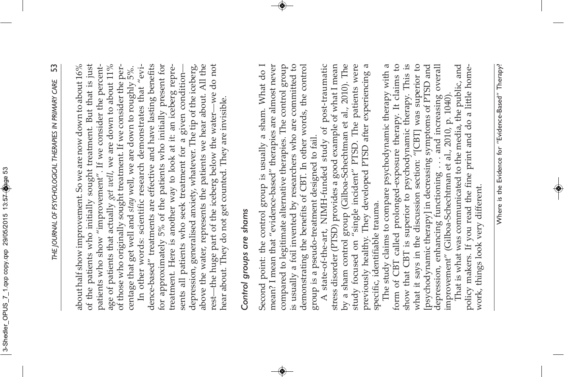# SS *THE JOURNAL OF PSYCHOLOGICAL THERAPIES IN PRIMARY CARE* 53 THE JOURNAL OF PSYCHOLOGICAL THERAPIES IN PRIMARY CARE

about half show improvement. So we are now down to about 16% of the patients who initially sought treatment. But that is just patients who show "improvement". If we consider the percentage of patients that actually *get well*, we are down to about 11% of those who originally sought treatment. If we consider the perabout half show improvement. So we are now down to about 16%  $\,$ of the patients who initially sought treatment. But that is just patients who show "improvement". If we consider the percentage of patients that actually *get well*, we are down to about 11% of those who originally sought treatment. If we consider the percentage that get well and stay well, we are down to roughly 5%. centage that get well and *stay* well, we are down to roughly 5%.

dence-based" treatments are effective and have lasting benefits for approximately 5% of the patients who initially present for above the water, represents the patients we hear about. All the In other words: scientific research demonstrates that "evitreatment. Here is another way to look at it: an iceberg repredepression, generalised anxiety, whatever. The tip of the iceberg, -we do not In other words: scientific research demonstrates that "evidence-based" treatments are effective and have lasting benefits for approximately 5% of the patients who initially present for treatment. Here is another way to look at it: an iceberg repredepression, generalised anxiety, whatever. The tip of the iceberg, above the water, represents the patients we hear about. All the —we do not sents all patients who seek treatment for a given conditionsents all patients who seek treatment for a given condition hear about. They do not get counted. They are invisible. hear about. They do not get counted. They are invisible. rest—the huge part of the iceberg below the water-—the huge part of the iceberg below the water

## Control groups are shams *Control groups are shams*

compared to legitimate alternative therapies. The control group is usually a foil invented by researchers who are committed to Second point: the control group is usually a sham. What do I mean? I mean that "evidence-based" therapies are almost never demonstrating the benefits of CBT. In other words, the control Second point: the control group is usually a sham. What do I mean? I mean that "evidence-based" therapies are almost never compared to legitimate alternative therapies. The control group is usually a foil invented by researchers who are committed to demonstrating the benefits of CBT. In other words, the control group is a pseudo-treatment designed to fail. group is a pseudo-treatment designed to fail.

by a sham control group (Gilboa-Schechtman et al., 2010). The study focused on "single incident" PTSD. The patients were A state-of-the-art, NIMH-funded study of post-traumatic stress disorder (PTSD) provides a good example of what I mean previously healthy. They developed PTSD after experiencing a A state-of-the-art, NIMH-funded study of post-traumatic stress disorder (PTSD) provides a good example of what I mean by a sham control group (Gilboa-Schechtman et al., 2010). The study focused on "single incident" PTSD. The patients were previously healthy. They developed PTSD after experiencing a specific, identifiable trauma. specific, identifiable trauma.

form of CBT called prolonged-exposure therapy. It claims to what it says in the discussion section: "[CBT] was superior to The study claims to compare psychodynamic therapy with a show that CBT is superior to psychodynamic therapy. This is [psychodynamic therapy] in decreasing symptoms of PTSD and depression, enhancing functioning . . . and increasing overall<br>improvement" (Gilboa-Schechtman et al., 2010, p. 1040). The study claims to compare psychodynamic therapy with a form of CBT called prolonged-exposure therapy. It claims to show that CBT is superior to psychodynamic therapy. This is what it says in the discussion section: "[CBT] was superior to [psychodynamic therapy] in decreasing symptoms of PTSD and depression, enhancing functioning . . . and increasing overall improvement" (Gilboa-Schechtman et al., 2010, p. 1040).

That is what was communicated to the media, the public, and policy makers. If you read the fine print and do a little home-That is what was communicated to the media, the public, and policy makers. If you read the fine print and do a little homework, things look very different. work, things look very different.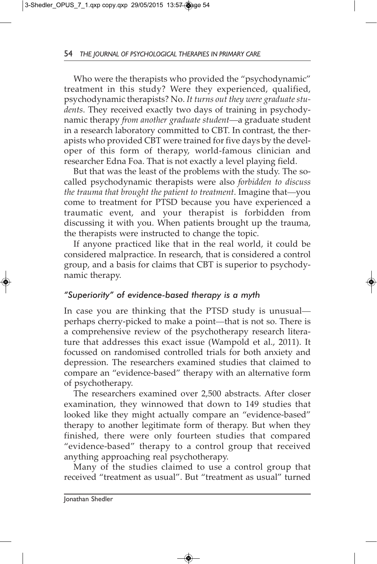Who were the therapists who provided the "psychodynamic" treatment in this study? Were they experienced, qualified, psychodynamic therapists? No. *It turns out they were graduate students*. They received exactly two days of training in psychodynamic therapy *from another graduate student*—a graduate student in a research laboratory committed to CBT. In contrast, the therapists who provided CBT were trained for five days by the developer of this form of therapy, world-famous clinician and researcher Edna Foa. That is not exactly a level playing field.

But that was the least of the problems with the study. The socalled psychodynamic therapists were also *forbidden to discuss the trauma that brought the patient to treatment*. Imagine that—you come to treatment for PTSD because you have experienced a traumatic event, and your therapist is forbidden from discussing it with you. When patients brought up the trauma, the therapists were instructed to change the topic.

If anyone practiced like that in the real world, it could be considered malpractice. In research, that is considered a control group, and a basis for claims that CBT is superior to psychodynamic therapy.

#### *"Superiority" of evidence-based therapy is a myth*

In case you are thinking that the PTSD study is unusual perhaps cherry-picked to make a point—that is not so. There is a comprehensive review of the psychotherapy research literature that addresses this exact issue (Wampold et al., 2011). It focussed on randomised controlled trials for both anxiety and depression. The researchers examined studies that claimed to compare an "evidence-based" therapy with an alternative form of psychotherapy.

The researchers examined over 2,500 abstracts. After closer examination, they winnowed that down to 149 studies that looked like they might actually compare an "evidence-based" therapy to another legitimate form of therapy. But when they finished, there were only fourteen studies that compared "evidence-based" therapy to a control group that received anything approaching real psychotherapy.

Many of the studies claimed to use a control group that received "treatment as usual". But "treatment as usual" turned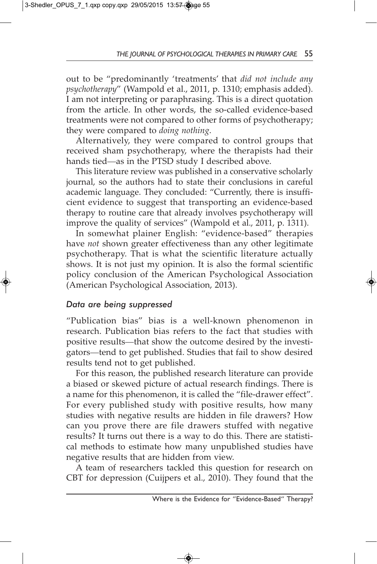out to be "predominantly 'treatments' that *did not include any psychotherapy*" (Wampold et al., 2011, p. 1310; emphasis added). I am not interpreting or paraphrasing. This is a direct quotation from the article. In other words, the so-called evidence-based treatments were not compared to other forms of psychotherapy; they were compared to *doing nothing*.

Alternatively, they were compared to control groups that received sham psychotherapy, where the therapists had their hands tied—as in the PTSD study I described above.

This literature review was published in a conservative scholarly journal, so the authors had to state their conclusions in careful academic language. They concluded: "Currently, there is insufficient evidence to suggest that transporting an evidence-based therapy to routine care that already involves psychotherapy will improve the quality of services" (Wampold et al., 2011, p. 1311).

In somewhat plainer English: "evidence-based" therapies have *not* shown greater effectiveness than any other legitimate psychotherapy. That is what the scientific literature actually shows. It is not just my opinion. It is also the formal scientific policy conclusion of the American Psychological Association (American Psychological Association, 2013).

#### *Data are being suppressed*

"Publication bias" bias is a well-known phenomenon in research. Publication bias refers to the fact that studies with positive results—that show the outcome desired by the investigators—tend to get published. Studies that fail to show desired results tend not to get published.

For this reason, the published research literature can provide a biased or skewed picture of actual research findings. There is a name for this phenomenon, it is called the "file-drawer effect". For every published study with positive results, how many studies with negative results are hidden in file drawers? How can you prove there are file drawers stuffed with negative results? It turns out there is a way to do this. There are statistical methods to estimate how many unpublished studies have negative results that are hidden from view.

A team of researchers tackled this question for research on CBT for depression (Cuijpers et al., 2010). They found that the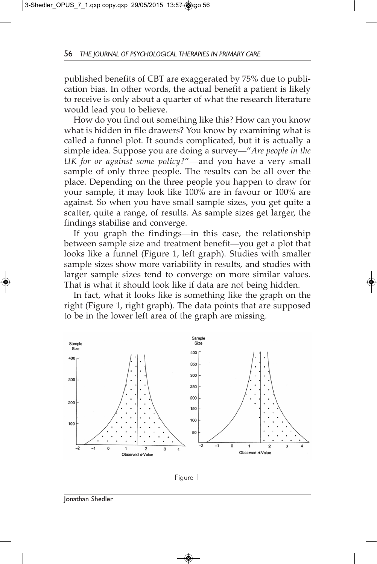published benefits of CBT are exaggerated by 75% due to publication bias. In other words, the actual benefit a patient is likely to receive is only about a quarter of what the research literature would lead you to believe.

How do you find out something like this? How can you know what is hidden in file drawers? You know by examining what is called a funnel plot. It sounds complicated, but it is actually a simple idea. Suppose you are doing a survey—"*Are people in the UK for or against some policy?*"—and you have a very small sample of only three people. The results can be all over the place. Depending on the three people you happen to draw for your sample, it may look like 100% are in favour or 100% are against. So when you have small sample sizes, you get quite a scatter, quite a range, of results. As sample sizes get larger, the findings stabilise and converge.

If you graph the findings—in this case, the relationship between sample size and treatment benefit—you get a plot that looks like a funnel (Figure 1, left graph). Studies with smaller sample sizes show more variability in results, and studies with larger sample sizes tend to converge on more similar values. That is what it should look like if data are not being hidden.

In fact, what it looks like is something like the graph on the right (Figure 1, right graph). The data points that are supposed to be in the lower left area of the graph are missing.





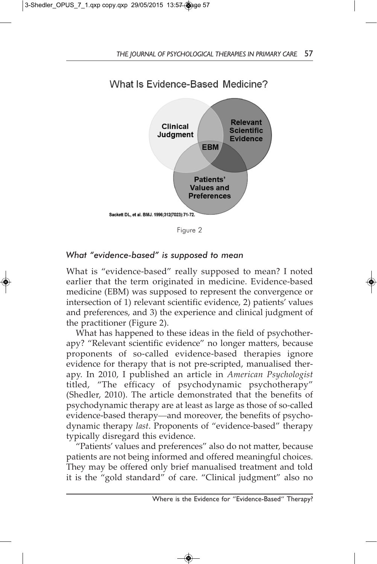

Figure 2

#### *What "evidence-based" is supposed to mean*

What is "evidence-based" really supposed to mean? I noted earlier that the term originated in medicine. Evidence-based medicine (EBM) was supposed to represent the convergence or intersection of 1) relevant scientific evidence, 2) patients' values and preferences, and 3) the experience and clinical judgment of the practitioner (Figure 2).

What has happened to these ideas in the field of psychotherapy? "Relevant scientific evidence" no longer matters, because proponents of so-called evidence-based therapies ignore evidence for therapy that is not pre-scripted, manualised therapy. In 2010, I published an article in *American Psychologist* titled, "The efficacy of psychodynamic psychotherapy" (Shedler, 2010). The article demonstrated that the benefits of psychodynamic therapy are at least as large as those of so-called evidence-based therapy—and moreover, the benefits of psychodynamic therapy *last*. Proponents of "evidence-based" therapy typically disregard this evidence.

"Patients' values and preferences" also do not matter, because patients are not being informed and offered meaningful choices. They may be offered only brief manualised treatment and told it is the "gold standard" of care. "Clinical judgment" also no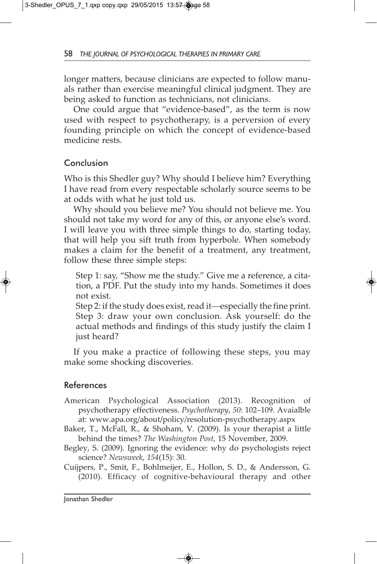longer matters, because clinicians are expected to follow manuals rather than exercise meaningful clinical judgment. They are being asked to function as technicians, not clinicians.

One could argue that "evidence-based", as the term is now used with respect to psychotherapy, is a perversion of every founding principle on which the concept of evidence-based medicine rests.

#### Conclusion

Who is this Shedler guy? Why should I believe him? Everything I have read from every respectable scholarly source seems to be at odds with what he just told us.

Why should you believe me? You should not believe me. You should not take my word for any of this, or anyone else's word. I will leave you with three simple things to do, starting today, that will help you sift truth from hyperbole. When somebody makes a claim for the benefit of a treatment, any treatment, follow these three simple steps:

Step 1: say, "Show me the study." Give me a reference, a citation, a PDF. Put the study into my hands. Sometimes it does not exist.

Step 2: if the study does exist, read it—especially the fine print. Step 3: draw your own conclusion. Ask yourself: do the actual methods and findings of this study justify the claim I just heard?

If you make a practice of following these steps, you may make some shocking discoveries.

#### References

- American Psychological Association (2013). Recognition of psychotherapy effectiveness. *Psychotherapy*, *50*: 102–109. Avaialble at: www.apa.org/about/policy/resolution-psychotherapy.aspx
- Baker, T., McFall, R., & Shoham, V. (2009). Is your therapist a little behind the times? *The Washington Post*, 15 November, 2009.
- Begley, S. (2009). Ignoring the evidence: why do psychologists reject science? *Newsweek*, *154*(15): 30.

Cuijpers, P., Smit, F., Bohlmeijer, E., Hollon, S. D., & Andersson, G. (2010). Efficacy of cognitive-behavioural therapy and other